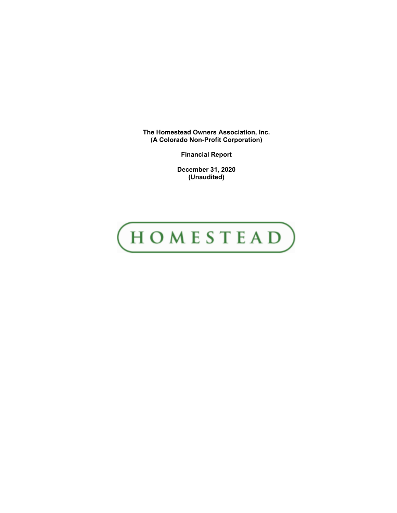**The Homestead Owners Association, Inc. (A Colorado Non-Profit Corporation)**

**Financial Report**

**December 31, 2020 (Unaudited)**

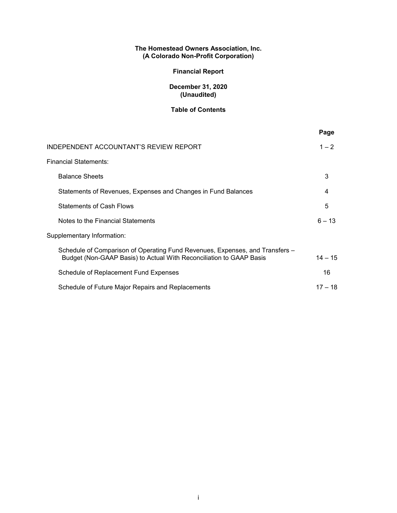## **The Homestead Owners Association, Inc. (A Colorado Non-Profit Corporation)**

# **Financial Report**

# **December 31, 2020 (Unaudited)**

## **Table of Contents**

|                                                                                                                                                     | Page      |
|-----------------------------------------------------------------------------------------------------------------------------------------------------|-----------|
| INDEPENDENT ACCOUNTANT'S REVIEW REPORT                                                                                                              | $1 - 2$   |
| <b>Financial Statements:</b>                                                                                                                        |           |
| <b>Balance Sheets</b>                                                                                                                               | 3         |
| Statements of Revenues, Expenses and Changes in Fund Balances                                                                                       | 4         |
| <b>Statements of Cash Flows</b>                                                                                                                     | 5         |
| Notes to the Financial Statements                                                                                                                   | $6 - 13$  |
| Supplementary Information:                                                                                                                          |           |
| Schedule of Comparison of Operating Fund Revenues, Expenses, and Transfers -<br>Budget (Non-GAAP Basis) to Actual With Reconciliation to GAAP Basis | $14 - 15$ |
| Schedule of Replacement Fund Expenses                                                                                                               | 16        |
| Schedule of Future Major Repairs and Replacements                                                                                                   | $17 - 18$ |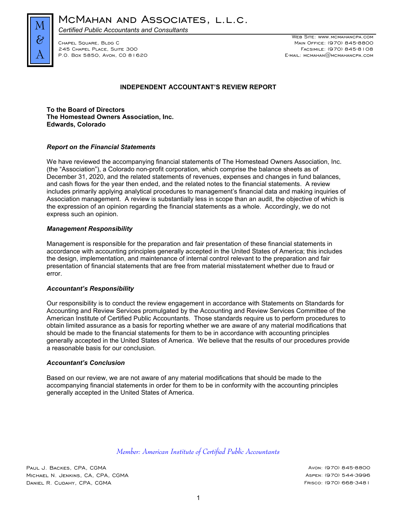

MCMAHAN AND ASSOCIATES, L.L.C.

*Certified Public Accountants and Consultants*

P.O. Box 5850, Avon, CO 81620

WEB SITE: WWW.MCMAHANCPA.COM Chapel Square, Bldg C Main Office: (970) 845-8800 245 Chapel Place, Suite 300 Facsimile: (970) 845-8108

# **INDEPENDENT ACCOUNTANT'S REVIEW REPORT**

**To the Board of Directors The Homestead Owners Association, Inc. Edwards, Colorado**

## *Report on the Financial Statements*

We have reviewed the accompanying financial statements of The Homestead Owners Association, Inc. (the "Association"), a Colorado non-profit corporation, which comprise the balance sheets as of December 31, 2020, and the related statements of revenues, expenses and changes in fund balances, and cash flows for the year then ended, and the related notes to the financial statements. A review includes primarily applying analytical procedures to management's financial data and making inquiries of Association management. A review is substantially less in scope than an audit, the objective of which is the expression of an opinion regarding the financial statements as a whole. Accordingly, we do not express such an opinion.

## *Management Responsibility*

Management is responsible for the preparation and fair presentation of these financial statements in accordance with accounting principles generally accepted in the United States of America; this includes the design, implementation, and maintenance of internal control relevant to the preparation and fair presentation of financial statements that are free from material misstatement whether due to fraud or error.

## *Accountant's Responsibility*

Our responsibility is to conduct the review engagement in accordance with Statements on Standards for Accounting and Review Services promulgated by the Accounting and Review Services Committee of the American Institute of Certified Public Accountants. Those standards require us to perform procedures to obtain limited assurance as a basis for reporting whether we are aware of any material modifications that should be made to the financial statements for them to be in accordance with accounting principles generally accepted in the United States of America. We believe that the results of our procedures provide a reasonable basis for our conclusion.

## *Accountant's Conclusion*

Based on our review, we are not aware of any material modifications that should be made to the accompanying financial statements in order for them to be in conformity with the accounting principles generally accepted in the United States of America.

*Member: American Institute of Certified Public Accountants*

Paul J. Backes, CPA, CGMA Avon: (970) 845-8800 Michael N. Jenkins, CA, CPA, CGMA Aspen: (970) 544-3996 Daniel R. Cudahy, CPA, CGMA Frisco: (970) 668-3481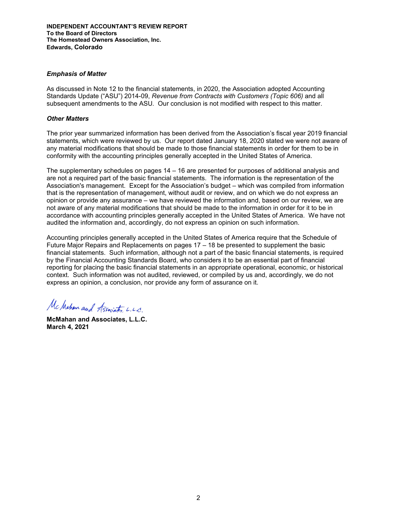#### **INDEPENDENT ACCOUNTANT'S REVIEW REPORT To the Board of Directors The Homestead Owners Association, Inc. Edwards, Colorado**

## *Emphasis of Matter*

As discussed in Note 12 to the financial statements, in 2020, the Association adopted Accounting Standards Update ("ASU") 2014-09, *Revenue from Contracts with Customers (Topic 606)* and all subsequent amendments to the ASU*.* Our conclusion is not modified with respect to this matter.

## *Other Matters*

The prior year summarized information has been derived from the Association's fiscal year 2019 financial statements, which were reviewed by us. Our report dated January 18, 2020 stated we were not aware of any material modifications that should be made to those financial statements in order for them to be in conformity with the accounting principles generally accepted in the United States of America.

The supplementary schedules on pages 14 – 16 are presented for purposes of additional analysis and are not a required part of the basic financial statements. The information is the representation of the Association's management. Except for the Association's budget – which was compiled from information that is the representation of management, without audit or review, and on which we do not express an opinion or provide any assurance – we have reviewed the information and, based on our review, we are not aware of any material modifications that should be made to the information in order for it to be in accordance with accounting principles generally accepted in the United States of America. We have not audited the information and, accordingly, do not express an opinion on such information.

Accounting principles generally accepted in the United States of America require that the Schedule of Future Major Repairs and Replacements on pages 17 – 18 be presented to supplement the basic financial statements. Such information, although not a part of the basic financial statements, is required by the Financial Accounting Standards Board, who considers it to be an essential part of financial reporting for placing the basic financial statements in an appropriate operational, economic, or historical context. Such information was not audited, reviewed, or compiled by us and, accordingly, we do not express an opinion, a conclusion, nor provide any form of assurance on it.

Mc Mahan and Associates, L.L.C.

**McMahan and Associates, L.L.C. March 4, 2021**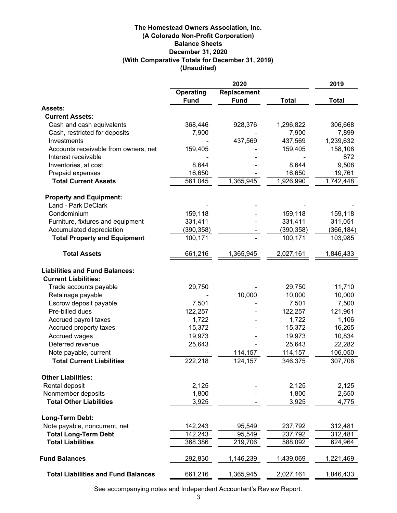## **The Homestead Owners Association, Inc. (With Comparative Totals for December 31, 2019) (Unaudited) December 31, 2020 Balance Sheets (A Colorado Non-Profit Corporation)**

|                                            | 2020        |             |              | 2019         |
|--------------------------------------------|-------------|-------------|--------------|--------------|
|                                            | Operating   | Replacement |              |              |
|                                            | <b>Fund</b> | <b>Fund</b> | <b>Total</b> | <b>Total</b> |
| <b>Assets:</b>                             |             |             |              |              |
| <b>Current Assets:</b>                     |             |             |              |              |
| Cash and cash equivalents                  | 368,446     | 928,376     | 1,296,822    | 306,668      |
| Cash, restricted for deposits              | 7,900       |             | 7,900        | 7,899        |
| Investments                                |             | 437,569     | 437,569      | 1,239,632    |
| Accounts receivable from owners, net       | 159,405     |             | 159,405      | 158,108      |
| Interest receivable                        |             |             |              | 872          |
| Inventories, at cost                       | 8,644       |             | 8,644        | 9,508        |
| Prepaid expenses                           | 16,650      |             | 16,650       | 19,761       |
| <b>Total Current Assets</b>                | 561,045     | 1,365,945   | 1,926,990    | 1,742,448    |
| <b>Property and Equipment:</b>             |             |             |              |              |
| Land - Park DeClark                        |             |             |              |              |
| Condominium                                | 159,118     |             | 159,118      | 159,118      |
| Furniture, fixtures and equipment          | 331,411     |             | 331,411      | 311,051      |
| Accumulated depreciation                   | (390, 358)  |             | (390, 358)   | (366, 184)   |
| <b>Total Property and Equipment</b>        | 100,171     |             | 100,171      | 103,985      |
| <b>Total Assets</b>                        | 661,216     | 1,365,945   | 2,027,161    | 1,846,433    |
| <b>Liabilities and Fund Balances:</b>      |             |             |              |              |
| <b>Current Liabilities:</b>                |             |             |              |              |
| Trade accounts payable                     | 29,750      |             | 29,750       | 11,710       |
| Retainage payable                          |             | 10,000      | 10,000       | 10,000       |
| Escrow deposit payable                     | 7,501       |             | 7,501        | 7,500        |
| Pre-billed dues                            | 122,257     |             | 122,257      | 121,961      |
| Accrued payroll taxes                      | 1,722       |             | 1,722        | 1,106        |
| Accrued property taxes                     | 15,372      |             | 15,372       | 16,265       |
| Accrued wages                              | 19,973      |             | 19,973       | 10,834       |
| Deferred revenue                           | 25,643      |             | 25,643       | 22,282       |
| Note payable, current                      |             | 114,157     | 114,157      | 106,050      |
| <b>Total Current Liabilities</b>           | 222,218     | 124,157     | 346,375      | 307,708      |
| <b>Other Liabilities:</b>                  |             |             |              |              |
| Rental deposit                             | 2,125       |             | 2,125        | 2,125        |
| Nonmember deposits                         | 1,800       |             | 1,800        | 2,650        |
| <b>Total Other Liabilities</b>             | 3,925       |             | 3,925        | 4,775        |
| Long-Term Debt:                            |             |             |              |              |
| Note payable, noncurrent, net              | 142,243     | 95,549      | 237,792      | 312,481      |
| <b>Total Long-Term Debt</b>                | 142,243     | 95,549      | 237,792      | 312,481      |
| <b>Total Liabilities</b>                   | 368,386     | 219,706     | 588,092      | 624,964      |
| <b>Fund Balances</b>                       | 292,830     | 1,146,239   | 1,439,069    | 1,221,469    |
| <b>Total Liabilities and Fund Balances</b> | 661,216     | 1,365,945   | 2,027,161    | 1,846,433    |

See accompanying notes and Independent Accountant's Review Report.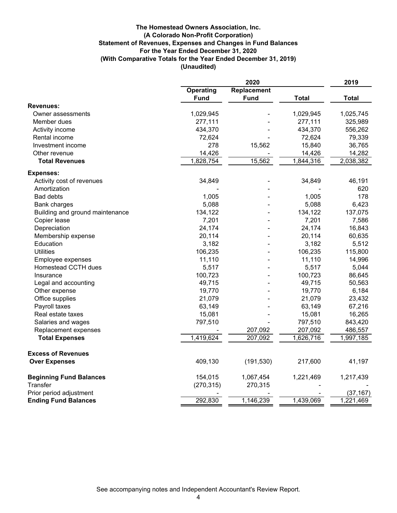## **For the Year Ended December 31, 2020 Statement of Revenues, Expenses and Changes in Fund Balances (A Colorado Non-Profit Corporation) The Homestead Owners Association, Inc. (With Comparative Totals for the Year Ended December 31, 2019) (Unaudited)**

|                                 | 2020                            |             |              | 2019         |
|---------------------------------|---------------------------------|-------------|--------------|--------------|
|                                 | <b>Operating</b><br>Replacement |             |              |              |
|                                 | <b>Fund</b>                     | <b>Fund</b> | <b>Total</b> | <b>Total</b> |
| <b>Revenues:</b>                |                                 |             |              |              |
| Owner assessments               | 1,029,945                       |             | 1,029,945    | 1,025,745    |
| Member dues                     | 277,111                         |             | 277,111      | 325,989      |
| Activity income                 | 434,370                         |             | 434,370      | 556,262      |
| Rental income                   | 72,624                          |             | 72,624       | 79,339       |
| Investment income               | 278                             | 15,562      | 15,840       | 36,765       |
| Other revenue                   | 14,426                          |             | 14,426       | 14,282       |
| <b>Total Revenues</b>           | 1,828,754                       | 15,562      | 1,844,316    | 2,038,382    |
| <b>Expenses:</b>                |                                 |             |              |              |
| Activity cost of revenues       | 34,849                          |             | 34,849       | 46,191       |
| Amortization                    |                                 |             |              | 620          |
| <b>Bad debts</b>                | 1,005                           |             | 1,005        | 178          |
| <b>Bank charges</b>             | 5,088                           |             | 5,088        | 6,423        |
| Building and ground maintenance | 134,122                         |             | 134,122      | 137,075      |
| Copier lease                    | 7,201                           |             | 7,201        | 7,586        |
| Depreciation                    | 24,174                          |             | 24,174       | 16,843       |
| Membership expense              | 20,114                          |             | 20,114       | 60,635       |
| Education                       | 3,182                           |             | 3,182        | 5,512        |
| <b>Utilities</b>                | 106,235                         |             | 106,235      | 115,800      |
| Employee expenses               | 11,110                          |             | 11,110       | 14,996       |
| Homestead CCTH dues             | 5,517                           |             | 5,517        | 5,044        |
| Insurance                       | 100,723                         |             | 100,723      | 86,645       |
| Legal and accounting            | 49,715                          |             | 49,715       | 50,563       |
| Other expense                   | 19,770                          |             | 19,770       | 6,184        |
| Office supplies                 | 21,079                          |             | 21,079       | 23,432       |
| Payroll taxes                   | 63,149                          |             | 63,149       | 67,216       |
| Real estate taxes               | 15,081                          |             | 15,081       | 16,265       |
| Salaries and wages              | 797,510                         |             | 797,510      | 843,420      |
| Replacement expenses            |                                 | 207,092     | 207,092      | 486,557      |
| <b>Total Expenses</b>           | 1,419,624                       | 207,092     | 1,626,716    | 1,997,185    |
|                                 |                                 |             |              |              |
| <b>Excess of Revenues</b>       |                                 |             |              |              |
| <b>Over Expenses</b>            | 409,130                         | (191, 530)  | 217,600      | 41,197       |
| <b>Beginning Fund Balances</b>  | 154,015                         | 1,067,454   | 1,221,469    | 1,217,439    |
| Transfer                        | (270, 315)                      | 270,315     |              |              |
| Prior period adjustment         |                                 |             |              | (37, 167)    |
| <b>Ending Fund Balances</b>     | 292,830                         | 1,146,239   | 1,439,069    | 1,221,469    |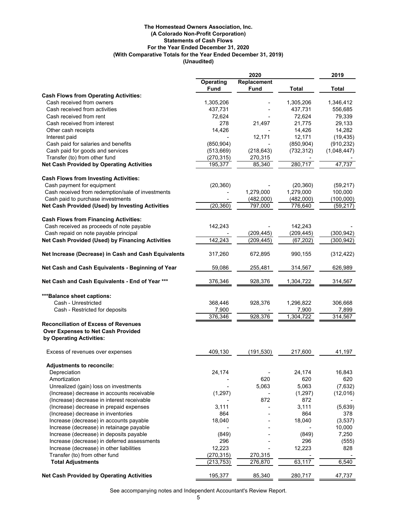#### **(A Colorado Non-Profit Corporation) The Homestead Owners Association, Inc. (Unaudited) (With Comparative Totals for the Year Ended December 31, 2019) For the Year Ended December 31, 2020 Statements of Cash Flows**

|                                                                                                               |            | 2020        |              | 2019         |
|---------------------------------------------------------------------------------------------------------------|------------|-------------|--------------|--------------|
|                                                                                                               | Operating  | Replacement |              |              |
|                                                                                                               | Fund       | <b>Fund</b> | <b>Total</b> | <b>Total</b> |
| <b>Cash Flows from Operating Activities:</b>                                                                  |            |             |              |              |
| Cash received from owners                                                                                     | 1,305,206  |             | 1,305,206    | 1,346,412    |
| Cash received from activities                                                                                 | 437,731    |             | 437,731      | 556,685      |
| Cash received from rent                                                                                       | 72,624     |             | 72,624       | 79,339       |
| Cash received from interest                                                                                   | 278        | 21,497      | 21,775       | 29,133       |
| Other cash receipts                                                                                           | 14,426     |             | 14,426       | 14,282       |
| Interest paid                                                                                                 |            | 12,171      | 12,171       | (19, 435)    |
| Cash paid for salaries and benefits                                                                           | (850, 904) |             | (850, 904)   | (910, 232)   |
| Cash paid for goods and services                                                                              | (513,669)  | (218, 643)  | (732, 312)   | (1,048,447)  |
| Transfer (to) from other fund                                                                                 | (270, 315) | 270,315     |              |              |
| <b>Net Cash Provided by Operating Activities</b>                                                              | 195,377    | 85,340      | 280,717      | 47,737       |
| <b>Cash Flows from Investing Activities:</b>                                                                  |            |             |              |              |
| Cash payment for equipment                                                                                    | (20, 360)  |             | (20, 360)    | (59, 217)    |
| Cash received from redemption/sale of investments                                                             |            | 1,279,000   | 1,279,000    | 100,000      |
| Cash paid to purchase investments                                                                             |            | (482,000)   | (482,000)    | (100,000)    |
| Net Cash Provided (Used) by Investing Activities                                                              | (20, 360)  | 797,000     | 776,640      | (59, 217)    |
| <b>Cash Flows from Financing Activities:</b>                                                                  |            |             |              |              |
| Cash received as proceeds of note payable                                                                     | 142,243    |             | 142,243      |              |
| Cash repaid on note payable principal                                                                         |            | (209, 445)  | (209, 445)   | (300, 942)   |
| Net Cash Provided (Used) by Financing Activities                                                              | 142,243    | (209, 445)  | (67, 202)    | (300,942)    |
| Net Increase (Decrease) in Cash and Cash Equivalents                                                          | 317,260    | 672,895     | 990,155      | (312, 422)   |
| Net Cash and Cash Equivalents - Beginning of Year                                                             | 59,086     | 255,481     | 314,567      | 626,989      |
| Net Cash and Cash Equivalents - End of Year ***                                                               | 376,346    | 928,376     | 1,304,722    | 314,567      |
| ***Balance sheet captions:                                                                                    |            |             |              |              |
| Cash - Unrestricted                                                                                           | 368,446    | 928,376     | 1,296,822    | 306,668      |
| Cash - Restricted for deposits                                                                                | 7,900      |             | 7,900        | 7,899        |
|                                                                                                               | 376,346    | 928,376     | 1,304,722    | 314,567      |
| <b>Reconciliation of Excess of Revenues</b><br>Over Expenses to Net Cash Provided<br>by Operating Activities: |            |             |              |              |
| Excess of revenues over expenses                                                                              | 409,130    | (191, 530)  | 217,600      | 41,197       |
| <b>Adjustments to reconcile:</b>                                                                              |            |             |              |              |
| Depreciation                                                                                                  | 24,174     |             | 24,174       | 16,843       |
| Amortization                                                                                                  |            | 620         | 620          | 620          |
| Unrealized (gain) loss on investments                                                                         |            | 5,063       | 5,063        | (7,632)      |
| (Increase) decrease in accounts receivable                                                                    | (1, 297)   |             | (1,297)      | (12,016)     |
| (Increase) decrease in interest receivable                                                                    |            | 872         | 872          |              |
| (Increase) decrease in prepaid expenses                                                                       | 3,111      |             | 3,111        | (5,639)      |
| (Increase) decrease in inventories                                                                            | 864        |             | 864          | 378          |
| Increase (decrease) in accounts payable                                                                       | 18,040     |             | 18,040       | (3, 537)     |
| Increase (decrease) in retainage payable                                                                      |            |             |              | 10,000       |
| Increase (decrease) in deposits payable                                                                       | (849)      |             | (849)        | 7,250        |
| Increase (decrease) in deferred assessments                                                                   | 296        |             | 296          | (555)        |
| Increase (decrease) in other liabilities                                                                      | 12,223     |             | 12,223       | 828          |
| Transfer (to) from other fund                                                                                 | (270, 315) | 270,315     |              |              |
| <b>Total Adjustments</b>                                                                                      | (213, 753) | 276,870     | 63,117       | 6,540        |
| <b>Net Cash Provided by Operating Activities</b>                                                              | 195,377    | 85,340      | 280,717      | 47,737       |

See accompanying notes and Independent Accountant's Review Report.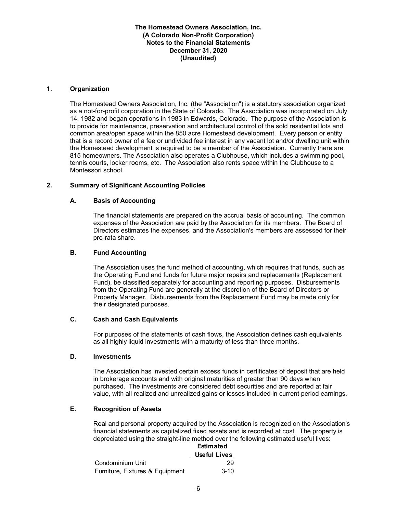## **1. Organization**

The Homestead Owners Association, Inc. (the "Association") is a statutory association organized as a not-for-profit corporation in the State of Colorado. The Association was incorporated on July 14, 1982 and began operations in 1983 in Edwards, Colorado. The purpose of the Association is to provide for maintenance, preservation and architectural control of the sold residential lots and common area/open space within the 850 acre Homestead development. Every person or entity that is a record owner of a fee or undivided fee interest in any vacant lot and/or dwelling unit within the Homestead development is required to be a member of the Association. Currently there are 815 homeowners. The Association also operates a Clubhouse, which includes a swimming pool, tennis courts, locker rooms, etc. The Association also rents space within the Clubhouse to a Montessori school.

## **2. Summary of Significant Accounting Policies**

## **A. Basis of Accounting**

The financial statements are prepared on the accrual basis of accounting. The common expenses of the Association are paid by the Association for its members. The Board of Directors estimates the expenses, and the Association's members are assessed for their pro-rata share.

## **B. Fund Accounting**

The Association uses the fund method of accounting, which requires that funds, such as the Operating Fund and funds for future major repairs and replacements (Replacement Fund), be classified separately for accounting and reporting purposes. Disbursements from the Operating Fund are generally at the discretion of the Board of Directors or Property Manager. Disbursements from the Replacement Fund may be made only for their designated purposes.

## **C. Cash and Cash Equivalents**

For purposes of the statements of cash flows, the Association defines cash equivalents as all highly liquid investments with a maturity of less than three months.

## **D. Investments**

The Association has invested certain excess funds in certificates of deposit that are held in brokerage accounts and with original maturities of greater than 90 days when purchased. The investments are considered debt securities and are reported at fair value, with all realized and unrealized gains or losses included in current period earnings.

## **E. Recognition of Assets**

Real and personal property acquired by the Association is recognized on the Association's financial statements as capitalized fixed assets and is recorded at cost. The property is depreciated using the straight-line method over the following estimated useful lives:

|                                 | Estimated           |  |
|---------------------------------|---------------------|--|
|                                 | <b>Useful Lives</b> |  |
| Condominium Unit                | 29                  |  |
| Furniture, Fixtures & Equipment | $3-10$              |  |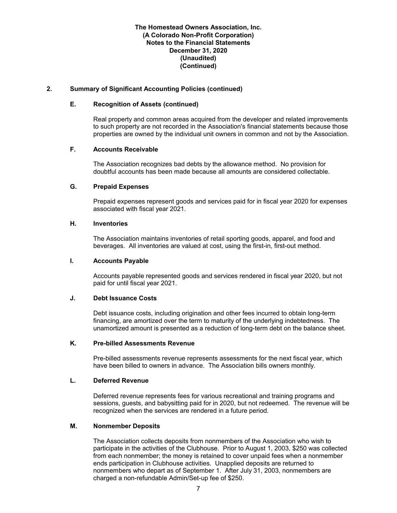## **2. Summary of Significant Accounting Policies (continued)**

### **E. Recognition of Assets (continued)**

Real property and common areas acquired from the developer and related improvements to such property are not recorded in the Association's financial statements because those properties are owned by the individual unit owners in common and not by the Association.

## **F. Accounts Receivable**

The Association recognizes bad debts by the allowance method. No provision for doubtful accounts has been made because all amounts are considered collectable.

## **G. Prepaid Expenses**

Prepaid expenses represent goods and services paid for in fiscal year 2020 for expenses associated with fiscal year 2021.

#### **H. Inventories**

The Association maintains inventories of retail sporting goods, apparel, and food and beverages. All inventories are valued at cost, using the first-in, first-out method.

## **I. Accounts Payable**

Accounts payable represented goods and services rendered in fiscal year 2020, but not paid for until fiscal year 2021.

## **J. Debt Issuance Costs**

Debt issuance costs, including origination and other fees incurred to obtain long-term financing, are amortized over the term to maturity of the underlying indebtedness. The unamortized amount is presented as a reduction of long-term debt on the balance sheet.

## **K. Pre-billed Assessments Revenue**

Pre-billed assessments revenue represents assessments for the next fiscal year, which have been billed to owners in advance. The Association bills owners monthly.

## **L. Deferred Revenue**

Deferred revenue represents fees for various recreational and training programs and sessions, guests, and babysitting paid for in 2020, but not redeemed. The revenue will be recognized when the services are rendered in a future period.

## **M. Nonmember Deposits**

The Association collects deposits from nonmembers of the Association who wish to participate in the activities of the Clubhouse. Prior to August 1, 2003, \$250 was collected from each nonmember; the money is retained to cover unpaid fees when a nonmember ends participation in Clubhouse activities. Unapplied deposits are returned to nonmembers who depart as of September 1. After July 31, 2003, nonmembers are charged a non-refundable Admin/Set-up fee of \$250.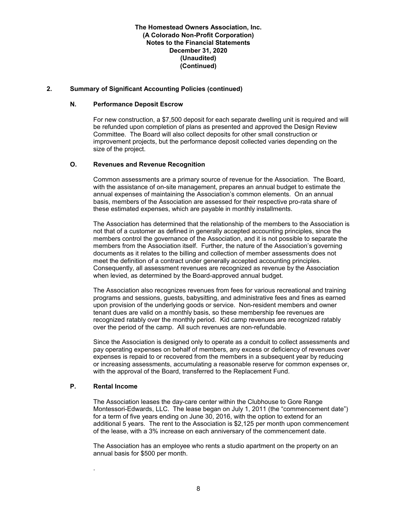## **2. Summary of Significant Accounting Policies (continued)**

### **N. Performance Deposit Escrow**

For new construction, a \$7,500 deposit for each separate dwelling unit is required and will be refunded upon completion of plans as presented and approved the Design Review Committee. The Board will also collect deposits for other small construction or improvement projects, but the performance deposit collected varies depending on the size of the project.

## **O. Revenues and Revenue Recognition**

Common assessments are a primary source of revenue for the Association. The Board, with the assistance of on-site management, prepares an annual budget to estimate the annual expenses of maintaining the Association's common elements. On an annual basis, members of the Association are assessed for their respective pro-rata share of these estimated expenses, which are payable in monthly installments.

The Association has determined that the relationship of the members to the Association is not that of a customer as defined in generally accepted accounting principles, since the members control the governance of the Association, and it is not possible to separate the members from the Association itself. Further, the nature of the Association's governing documents as it relates to the billing and collection of member assessments does not meet the definition of a contract under generally accepted accounting principles. Consequently, all assessment revenues are recognized as revenue by the Association when levied, as determined by the Board-approved annual budget.

The Association also recognizes revenues from fees for various recreational and training programs and sessions, guests, babysitting, and administrative fees and fines as earned upon provision of the underlying goods or service. Non-resident members and owner tenant dues are valid on a monthly basis, so these membership fee revenues are recognized ratably over the monthly period. Kid camp revenues are recognized ratably over the period of the camp. All such revenues are non-refundable.

Since the Association is designed only to operate as a conduit to collect assessments and pay operating expenses on behalf of members, any excess or deficiency of revenues over expenses is repaid to or recovered from the members in a subsequent year by reducing or increasing assessments, accumulating a reasonable reserve for common expenses or, with the approval of the Board, transferred to the Replacement Fund.

## **P. Rental Income**

.

The Association leases the day-care center within the Clubhouse to Gore Range Montessori-Edwards, LLC. The lease began on July 1, 2011 (the "commencement date") for a term of five years ending on June 30, 2016, with the option to extend for an additional 5 years. The rent to the Association is \$2,125 per month upon commencement of the lease, with a 3% increase on each anniversary of the commencement date.

The Association has an employee who rents a studio apartment on the property on an annual basis for \$500 per month.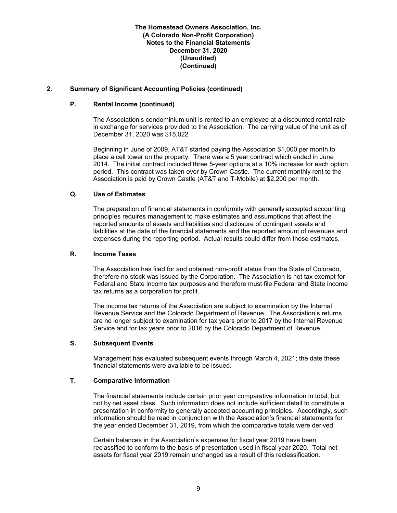## **2. Summary of Significant Accounting Policies (continued)**

## **P. Rental Income (continued)**

The Association's condominium unit is rented to an employee at a discounted rental rate in exchange for services provided to the Association. The carrying value of the unit as of December 31, 2020 was \$15,022

Beginning in June of 2009, AT&T started paying the Association \$1,000 per month to place a cell tower on the property. There was a 5 year contract which ended in June 2014. The initial contract included three 5-year options at a 10% increase for each option period. This contract was taken over by Crown Castle. The current monthly rent to the Association is paid by Crown Castle (AT&T and T-Mobile) at \$2,200 per month.

## **Q. Use of Estimates**

The preparation of financial statements in conformity with generally accepted accounting principles requires management to make estimates and assumptions that affect the reported amounts of assets and liabilities and disclosure of contingent assets and liabilities at the date of the financial statements and the reported amount of revenues and expenses during the reporting period. Actual results could differ from those estimates.

## **R. Income Taxes**

The Association has filed for and obtained non-profit status from the State of Colorado, therefore no stock was issued by the Corporation. The Association is not tax exempt for Federal and State income tax purposes and therefore must file Federal and State income tax returns as a corporation for profit.

The income tax returns of the Association are subject to examination by the Internal Revenue Service and the Colorado Department of Revenue. The Association's returns are no longer subject to examination for tax years prior to 2017 by the Internal Revenue Service and for tax years prior to 2016 by the Colorado Department of Revenue.

## **S. Subsequent Events**

Management has evaluated subsequent events through March 4, 2021; the date these financial statements were available to be issued.

## **T. Comparative Information**

The financial statements include certain prior year comparative information in total, but not by net asset class. Such information does not include sufficient detail to constitute a presentation in conformity to generally accepted accounting principles. Accordingly, such information should be read in conjunction with the Association's financial statements for the year ended December 31, 2019, from which the comparative totals were derived.

Certain balances in the Association's expenses for fiscal year 2019 have been reclassified to conform to the basis of presentation used in fiscal year 2020. Total net assets for fiscal year 2019 remain unchanged as a result of this reclassification.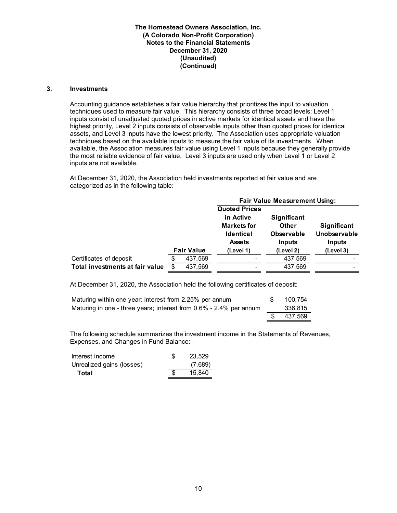## **3. Investments**

Accounting guidance establishes a fair value hierarchy that prioritizes the input to valuation techniques used to measure fair value. This hierarchy consists of three broad levels: Level 1 inputs consist of unadjusted quoted prices in active markets for identical assets and have the highest priority, Level 2 inputs consists of observable inputs other than quoted prices for identical assets, and Level 3 inputs have the lowest priority. The Association uses appropriate valuation techniques based on the available inputs to measure the fair value of its investments. When available, the Association measures fair value using Level 1 inputs because they generally provide the most reliable evidence of fair value. Level 3 inputs are used only when Level 1 or Level 2 inputs are not available.

At December 31, 2020, the Association held investments reported at fair value and are categorized as in the following table:

|                                 |                   | <b>Fair Value Measurement Using:</b> |                   |                     |
|---------------------------------|-------------------|--------------------------------------|-------------------|---------------------|
|                                 |                   | <b>Quoted Prices</b>                 |                   |                     |
|                                 |                   | in Active                            | Significant       |                     |
|                                 |                   | <b>Markets for</b>                   | <b>Other</b>      | Significant         |
|                                 |                   | <b>Identical</b>                     | <b>Observable</b> | <b>Unobservable</b> |
|                                 |                   | <b>Assets</b>                        | Inputs            | <b>Inputs</b>       |
|                                 | <b>Fair Value</b> | (Level 1)                            | (Level 2)         | (Level 3)           |
| Certificates of deposit         | 437,569           |                                      | 437,569           |                     |
| Total investments at fair value | 437,569           | ۰                                    | 437,569           | ۰                   |

At December 31, 2020, the Association held the following certificates of deposit:

| Maturing within one year; interest from 2.25% per annum            |      | 100.754 |
|--------------------------------------------------------------------|------|---------|
| Maturing in one - three years; interest from 0.6% - 2.4% per annum |      | 336.815 |
|                                                                    | - SS | 437.569 |

The following schedule summarizes the investment income in the Statements of Revenues, Expenses, and Changes in Fund Balance:

| Interest income           | \$. | 23.529  |
|---------------------------|-----|---------|
| Unrealized gains (losses) |     | (7,689) |
| Total                     |     | 15.840  |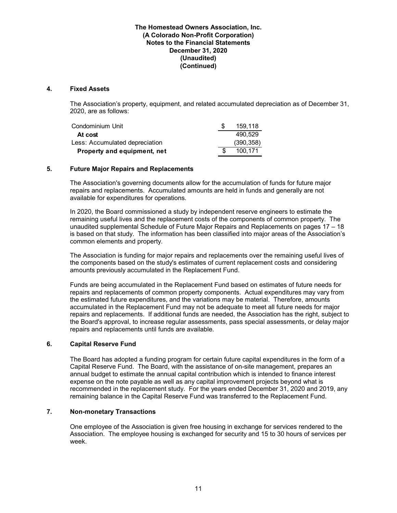## **4. Fixed Assets**

The Association's property, equipment, and related accumulated depreciation as of December 31, 2020, are as follows:

| Condominium Unit               | 159.118    |
|--------------------------------|------------|
| At cost                        | 490.529    |
| Less: Accumulated depreciation | (390, 358) |
| Property and equipment, net    | 100.171    |

### **5. Future Major Repairs and Replacements**

The Association's governing documents allow for the accumulation of funds for future major repairs and replacements. Accumulated amounts are held in funds and generally are not available for expenditures for operations.

In 2020, the Board commissioned a study by independent reserve engineers to estimate the remaining useful lives and the replacement costs of the components of common property. The unaudited supplemental Schedule of Future Major Repairs and Replacements on pages 17 – 18 is based on that study. The information has been classified into major areas of the Association's common elements and property.

The Association is funding for major repairs and replacements over the remaining useful lives of the components based on the study's estimates of current replacement costs and considering amounts previously accumulated in the Replacement Fund.

Funds are being accumulated in the Replacement Fund based on estimates of future needs for repairs and replacements of common property components. Actual expenditures may vary from the estimated future expenditures, and the variations may be material. Therefore, amounts accumulated in the Replacement Fund may not be adequate to meet all future needs for major repairs and replacements. If additional funds are needed, the Association has the right, subject to the Board's approval, to increase regular assessments, pass special assessments, or delay major repairs and replacements until funds are available.

## **6. Capital Reserve Fund**

The Board has adopted a funding program for certain future capital expenditures in the form of a Capital Reserve Fund. The Board, with the assistance of on-site management, prepares an annual budget to estimate the annual capital contribution which is intended to finance interest expense on the note payable as well as any capital improvement projects beyond what is recommended in the replacement study. For the years ended December 31, 2020 and 2019, any remaining balance in the Capital Reserve Fund was transferred to the Replacement Fund.

#### **7. Non-monetary Transactions**

One employee of the Association is given free housing in exchange for services rendered to the Association. The employee housing is exchanged for security and 15 to 30 hours of services per week.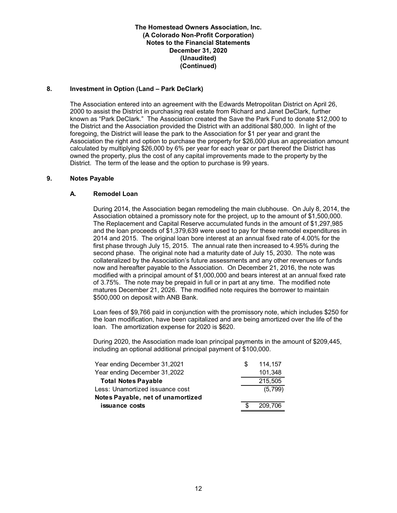## **8. Investment in Option (Land – Park DeClark)**

The Association entered into an agreement with the Edwards Metropolitan District on April 26, 2000 to assist the District in purchasing real estate from Richard and Janet DeClark, further known as "Park DeClark." The Association created the Save the Park Fund to donate \$12,000 to the District and the Association provided the District with an additional \$80,000. In light of the foregoing, the District will lease the park to the Association for \$1 per year and grant the Association the right and option to purchase the property for \$26,000 plus an appreciation amount calculated by multiplying \$26,000 by 6% per year for each year or part thereof the District has owned the property, plus the cost of any capital improvements made to the property by the District. The term of the lease and the option to purchase is 99 years.

## **9. Notes Payable**

## **A. Remodel Loan**

During 2014, the Association began remodeling the main clubhouse. On July 8, 2014, the Association obtained a promissory note for the project, up to the amount of \$1,500,000. The Replacement and Capital Reserve accumulated funds in the amount of \$1,297,985 and the loan proceeds of \$1,379,639 were used to pay for these remodel expenditures in 2014 and 2015. The original loan bore interest at an annual fixed rate of 4.00% for the first phase through July 15, 2015. The annual rate then increased to 4.95% during the second phase. The original note had a maturity date of July 15, 2030. The note was collateralized by the Association's future assessments and any other revenues or funds now and hereafter payable to the Association. On December 21, 2016, the note was modified with a principal amount of \$1,000,000 and bears interest at an annual fixed rate of 3.75%. The note may be prepaid in full or in part at any time. The modified note matures December 21, 2026. The modified note requires the borrower to maintain \$500,000 on deposit with ANB Bank.

Loan fees of \$9,766 paid in conjunction with the promissory note, which includes \$250 for the loan modification, have been capitalized and are being amortized over the life of the loan. The amortization expense for 2020 is \$620.

During 2020, the Association made loan principal payments in the amount of \$209,445, including an optional additional principal payment of \$100,000.

| Year ending December 31,2021      | 114.157 |
|-----------------------------------|---------|
| Year ending December 31,2022      | 101,348 |
| <b>Total Notes Payable</b>        | 215,505 |
| Less: Unamortized issuance cost   | (5,799) |
| Notes Payable, net of unamortized |         |
| issuance costs                    | 209.706 |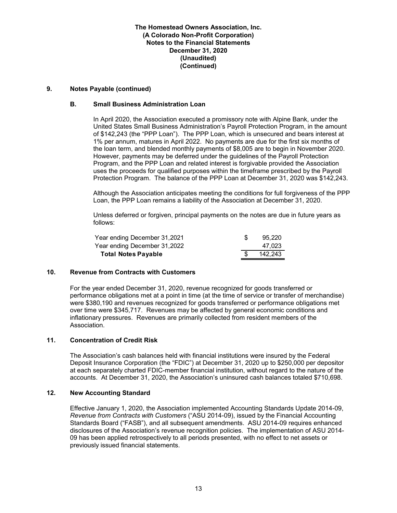## **9. Notes Payable (continued)**

## **B. Small Business Administration Loan**

In April 2020, the Association executed a promissory note with Alpine Bank, under the United States Small Business Administration's Payroll Protection Program, in the amount of \$142,243 (the "PPP Loan"). The PPP Loan, which is unsecured and bears interest at 1% per annum, matures in April 2022. No payments are due for the first six months of the loan term, and blended monthly payments of \$8,005 are to begin in November 2020. However, payments may be deferred under the guidelines of the Payroll Protection Program, and the PPP Loan and related interest is forgivable provided the Association uses the proceeds for qualified purposes within the timeframe prescribed by the Payroll Protection Program. The balance of the PPP Loan at December 31, 2020 was \$142,243.

Although the Association anticipates meeting the conditions for full forgiveness of the PPP Loan, the PPP Loan remains a liability of the Association at December 31, 2020.

Unless deferred or forgiven, principal payments on the notes are due in future years as follows:

| Year ending December 31,2021 | 95.220  |
|------------------------------|---------|
| Year ending December 31,2022 | 47.023  |
| <b>Total Notes Payable</b>   | 142.243 |

## **10. Revenue from Contracts with Customers**

For the year ended December 31, 2020, revenue recognized for goods transferred or performance obligations met at a point in time (at the time of service or transfer of merchandise) were \$380,190 and revenues recognized for goods transferred or performance obligations met over time were \$345,717. Revenues may be affected by general economic conditions and inflationary pressures. Revenues are primarily collected from resident members of the Association.

## **11. Concentration of Credit Risk**

The Association's cash balances held with financial institutions were insured by the Federal Deposit Insurance Corporation (the "FDIC") at December 31, 2020 up to \$250,000 per depositor at each separately charted FDIC-member financial institution, without regard to the nature of the accounts. At December 31, 2020, the Association's uninsured cash balances totaled \$710,698.

## **12. New Accounting Standard**

Effective January 1, 2020, the Association implemented Accounting Standards Update 2014-09, *Revenue from Contracts with Customers* ("ASU 2014-09), issued by the Financial Accounting Standards Board ("FASB"), and all subsequent amendments. ASU 2014-09 requires enhanced disclosures of the Association's revenue recognition policies. The implementation of ASU 2014- 09 has been applied retrospectively to all periods presented, with no effect to net assets or previously issued financial statements.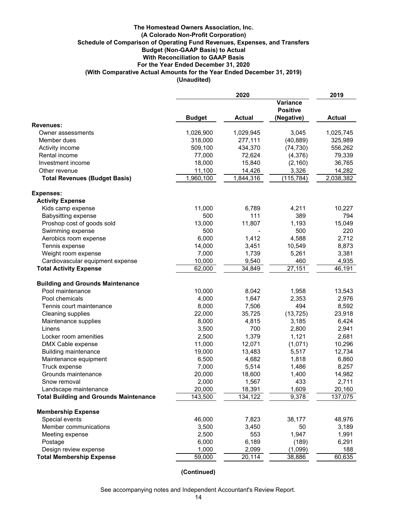#### **The Homestead Owners Association, Inc. (A Colorado Non-Profit Corporation) Schedule of Comparison of Operating Fund Revenues, Expenses, and Transfers Budget (Non-GAAP Basis) to Actual With Reconciliation to GAAP Basis For the Year Ended December 31, 2020 (With Comparative Actual Amounts for the Year Ended December 31, 2019) (Unaudited)**

|                                               | 2020          |                        |                             | 2019          |
|-----------------------------------------------|---------------|------------------------|-----------------------------|---------------|
|                                               |               |                        | Variance<br><b>Positive</b> |               |
|                                               | <b>Budget</b> | <b>Actual</b>          | (Negative)                  | <b>Actual</b> |
| <b>Revenues:</b>                              |               |                        |                             |               |
| <b>Owner assessments</b>                      | 1,026,900     | 1,029,945              | 3,045                       | 1,025,745     |
| Member dues                                   | 318,000       | 277,111                | (40, 889)                   | 325,989       |
| Activity income                               | 509,100       | 434,370                | (74, 730)                   | 556,262       |
| Rental income                                 | 77,000        | 72,624                 | (4,376)                     | 79,339        |
| Investment income                             | 18,000        | 15,840                 | (2, 160)                    | 36,765        |
| Other revenue                                 | 11,100        | 14,426                 | 3,326                       | 14,282        |
| <b>Total Revenues (Budget Basis)</b>          | 1,960,100     | $1,844,3\overline{16}$ | (115, 784)                  | 2,038,382     |
| <b>Expenses:</b>                              |               |                        |                             |               |
| <b>Activity Expense</b>                       |               |                        |                             |               |
| Kids camp expense                             | 11,000        | 6,789                  | 4,211                       | 10,227        |
| <b>Babysitting expense</b>                    | 500           | 111                    | 389                         | 794           |
| Proshop cost of goods sold                    | 13,000        | 11,807                 | 1,193                       | 15,049        |
| Swimming expense                              | 500           |                        | 500                         | 220           |
| Aerobics room expense                         | 6,000         | 1,412                  | 4,588                       | 2,712         |
| Tennis expense                                | 14,000        | 3,451                  | 10,549                      | 8,873         |
| Weight room expense                           | 7,000         | 1,739                  | 5,261                       | 3,381         |
| Cardiovascular equipment expense              | 10,000        | 9,540                  | 460                         | 4,935         |
| <b>Total Activity Expense</b>                 | 62,000        | 34,849                 | 27,151                      | 46,191        |
| <b>Building and Grounds Maintenance</b>       |               |                        |                             |               |
| Pool maintenance                              | 10,000        | 8,042                  | 1,958                       | 13,543        |
| Pool chemicals                                | 4,000         | 1,647                  | 2,353                       | 2,976         |
| Tennis court maintenance                      | 8,000         | 7,506                  | 494                         | 8,592         |
| Cleaning supplies                             | 22,000        | 35,725                 | (13, 725)                   | 23,918        |
| Maintenance supplies                          | 8,000         | 4,815                  | 3,185                       | 6,424         |
| Linens                                        | 3,500         | 700                    | 2,800                       | 2,941         |
| Locker room amenities                         | 2,500         | 1,379                  | 1,121                       | 2,681         |
| DMX Cable expense                             | 11,000        | 12,071                 | (1,071)                     | 10,296        |
| <b>Building maintenance</b>                   | 19,000        | 13,483                 | 5,517                       | 12,734        |
| Maintenance equipment                         | 6,500         | 4,682                  | 1,818                       | 6,860         |
| Truck expense                                 | 7,000         | 5,514                  | 1,486                       | 8,257         |
| Grounds maintenance                           | 20,000        | 18,600                 | 1,400                       | 14,982        |
| Snow removal                                  | 2,000         | 1,567                  | 433                         | 2,711         |
| Landscape maintenance                         | 20,000        | 18,391                 | 1,609                       | 20,160        |
| <b>Total Building and Grounds Maintenance</b> | 143,500       | 134,122                | 9,378                       | 137,075       |
| <b>Membership Expense</b>                     |               |                        |                             |               |
| Special events                                | 46,000        | 7,823                  | 38,177                      | 48,976        |
| Member communications                         |               |                        |                             |               |
|                                               | 3,500         | 3,450                  | 50                          | 3,189         |
| Meeting expense                               | 2,500         | 553                    | 1,947                       | 1,991         |
| Postage                                       | 6,000         | 6,189                  | (189)                       | 6,291         |
| Design review expense                         | 1,000         | 2,099                  | (1,099)                     | 188           |
| <b>Total Membership Expense</b>               | 59,000        | 20,114                 | 38,886                      | 60,635        |

**(Continued)**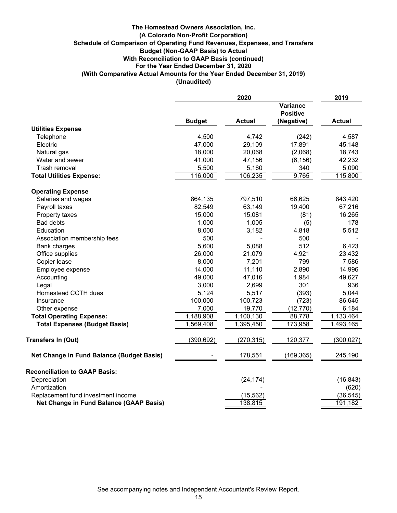## **Schedule of Comparison of Operating Fund Revenues, Expenses, and Transfers (A Colorado Non-Profit Corporation) The Homestead Owners Association, Inc. (Unaudited) (With Comparative Actual Amounts for the Year Ended December 31, 2019) For the Year Ended December 31, 2020 With Reconciliation to GAAP Basis (continued) Budget (Non-GAAP Basis) to Actual**

|                                           | 2020          |               |                                                  | 2019          |
|-------------------------------------------|---------------|---------------|--------------------------------------------------|---------------|
|                                           | <b>Budget</b> | <b>Actual</b> | <b>Variance</b><br><b>Positive</b><br>(Negative) | <b>Actual</b> |
| <b>Utilities Expense</b>                  |               |               |                                                  |               |
| Telephone                                 | 4,500         | 4,742         | (242)                                            | 4,587         |
| Electric                                  | 47,000        | 29,109        | 17,891                                           | 45,148        |
| Natural gas                               | 18,000        | 20,068        | (2,068)                                          | 18,743        |
| Water and sewer                           | 41,000        | 47,156        | (6, 156)                                         | 42,232        |
| Trash removal                             | 5,500         | 5,160         | 340                                              | 5,090         |
| <b>Total Utilities Expense:</b>           | 116,000       | 106,235       | 9,765                                            | 115,800       |
| <b>Operating Expense</b>                  |               |               |                                                  |               |
| Salaries and wages                        | 864,135       | 797,510       | 66,625                                           | 843,420       |
| Payroll taxes                             | 82,549        | 63,149        | 19,400                                           | 67,216        |
| Property taxes                            | 15,000        | 15,081        | (81)                                             | 16,265        |
| <b>Bad debts</b>                          | 1,000         | 1,005         | (5)                                              | 178           |
| Education                                 | 8,000         | 3,182         | 4,818                                            | 5,512         |
| Association membership fees               | 500           |               | 500                                              |               |
| <b>Bank charges</b>                       | 5,600         | 5,088         | 512                                              | 6,423         |
| Office supplies                           | 26,000        | 21,079        | 4,921                                            | 23,432        |
| Copier lease                              | 8,000         | 7,201         | 799                                              | 7,586         |
| Employee expense                          | 14,000        | 11,110        | 2,890                                            | 14,996        |
| Accounting                                | 49,000        | 47,016        | 1,984                                            | 49,627        |
| Legal                                     | 3,000         | 2,699         | 301                                              | 936           |
| Homestead CCTH dues                       | 5,124         | 5,517         | (393)                                            | 5,044         |
| Insurance                                 | 100,000       | 100,723       | (723)                                            | 86,645        |
| Other expense                             | 7,000         | 19,770        | (12, 770)                                        | 6,184         |
| <b>Total Operating Expense:</b>           | 1,188,908     | 1,100,130     | 88,778                                           | 1,133,464     |
| <b>Total Expenses (Budget Basis)</b>      | 1,569,408     | 1,395,450     | 173,958                                          | 1,493,165     |
| Transfers In (Out)                        | (390, 692)    | (270, 315)    | 120,377                                          | (300, 027)    |
| Net Change in Fund Balance (Budget Basis) |               | 178,551       | (169, 365)                                       | 245,190       |
| <b>Reconciliation to GAAP Basis:</b>      |               |               |                                                  |               |
| Depreciation                              |               | (24, 174)     |                                                  | (16, 843)     |
| Amortization                              |               |               |                                                  | (620)         |
| Replacement fund investment income        |               | (15, 562)     |                                                  | (36, 545)     |
| Net Change in Fund Balance (GAAP Basis)   |               | 138,815       |                                                  | 191,182       |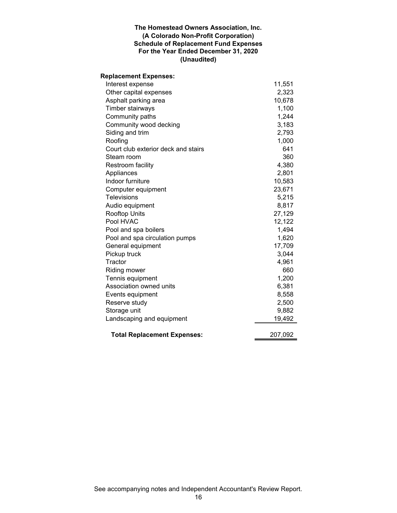## **(Unaudited) The Homestead Owners Association, Inc. (A Colorado Non-Profit Corporation) Schedule of Replacement Fund Expenses For the Year Ended December 31, 2020**

| <b>Replacement Expenses:</b>        |         |
|-------------------------------------|---------|
| Interest expense                    | 11,551  |
| Other capital expenses              | 2,323   |
| Asphalt parking area                | 10,678  |
| Timber stairways                    | 1,100   |
| Community paths                     | 1,244   |
| Community wood decking              | 3,183   |
| Siding and trim                     | 2,793   |
| Roofing                             | 1,000   |
| Court club exterior deck and stairs | 641     |
| Steam room                          | 360     |
| Restroom facility                   | 4,380   |
| Appliances                          | 2,801   |
| Indoor furniture                    | 10,583  |
| Computer equipment                  | 23,671  |
| <b>Televisions</b>                  | 5,215   |
| Audio equipment                     | 8,817   |
| <b>Rooftop Units</b>                | 27,129  |
| Pool HVAC                           | 12,122  |
| Pool and spa boilers                | 1,494   |
| Pool and spa circulation pumps      | 1,620   |
| General equipment                   | 17,709  |
| Pickup truck                        | 3,044   |
| Tractor                             | 4,961   |
| Riding mower                        | 660     |
| Tennis equipment                    | 1,200   |
| Association owned units             | 6,381   |
| Events equipment                    | 8,558   |
| Reserve study                       | 2,500   |
| Storage unit                        | 9,882   |
| Landscaping and equipment           | 19,492  |
| <b>Total Replacement Expenses:</b>  | 207,092 |
|                                     |         |

See accompanying notes and Independent Accountant's Review Report.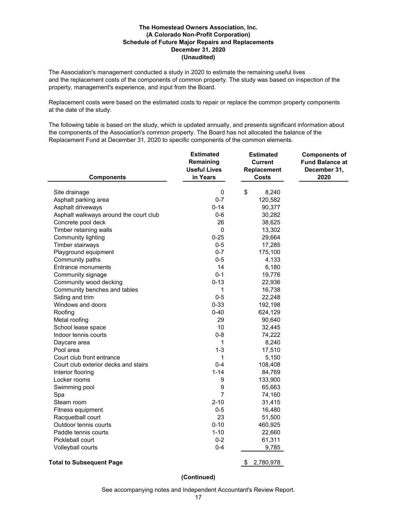## **December 31, 2020 The Homestead Owners Association, Inc. (A Colorado Non-Profit Corporation) Schedule of Future Major Repairs and Replacements (Unaudited)**

The Association's management conducted a study in 2020 to estimate the remaining useful lives and the replacement costs of the components of common property. The study was based on inspection of the property, management's experience, and input from the Board.

Replacement costs were based on the estimated costs to repair or replace the common property components at the date of the study.

The following table is based on the study, which is updated annually, and presents significant information about the components of the Association's common property. The Board has not allocated the balance of the Replacement Fund at December 31, 2020 to specific components of the common elements.

| <b>Components</b>                      | <b>Estimated</b><br>Remaining<br><b>Useful Lives</b><br>in Years | <b>Estimated</b><br><b>Current</b><br>Replacement<br><b>Costs</b> | <b>Components of</b><br><b>Fund Balance at</b><br>December 31.<br>2020 |
|----------------------------------------|------------------------------------------------------------------|-------------------------------------------------------------------|------------------------------------------------------------------------|
|                                        |                                                                  |                                                                   |                                                                        |
| Site drainage                          | $\pmb{0}$                                                        | \$<br>8,240                                                       |                                                                        |
| Asphalt parking area                   | $0 - 7$                                                          | 120,582                                                           |                                                                        |
| Asphalt driveways                      | $0 - 14$                                                         | 90,377                                                            |                                                                        |
| Asphalt walkways around the court club | $0-6$                                                            | 30,282                                                            |                                                                        |
| Concrete pool deck                     | 26                                                               | 38,625                                                            |                                                                        |
| Timber retaining walls                 | 0                                                                | 13,302                                                            |                                                                        |
| Community lighting                     | $0 - 25$                                                         | 29,664                                                            |                                                                        |
| Timber stairways                       | $0 - 5$                                                          | 17,285                                                            |                                                                        |
| Playground equipment                   | $0 - 7$                                                          | 175,100                                                           |                                                                        |
| Community paths                        | $0 - 5$                                                          | 4,133                                                             |                                                                        |
| Entrance monuments                     | 14                                                               | 6,180                                                             |                                                                        |
| Community signage                      | 0-1                                                              | 19,776                                                            |                                                                        |
| Community wood decking                 | $0 - 13$                                                         | 22,936                                                            |                                                                        |
| Community benches and tables           | 1                                                                | 16,738                                                            |                                                                        |
| Siding and trim                        | $0 - 5$                                                          | 22,248                                                            |                                                                        |
| Windows and doors                      | $0 - 33$                                                         | 192,198                                                           |                                                                        |
| Roofing                                | $0 - 40$                                                         | 624,129                                                           |                                                                        |
| Metal roofing                          | 29                                                               | 90,640                                                            |                                                                        |
| School lease space                     | 10                                                               | 32,445                                                            |                                                                        |
| Indoor tennis courts                   | $0 - 8$                                                          | 74,222                                                            |                                                                        |
| Daycare area                           | 1                                                                | 8,240                                                             |                                                                        |
| Pool area                              | $1 - 3$                                                          | 17,510                                                            |                                                                        |
| Court club front entrance              | 1                                                                | 5,150                                                             |                                                                        |
| Court club exterior decks and stairs   | $0 - 4$                                                          | 108,408                                                           |                                                                        |
| Interior flooring                      | $1 - 14$                                                         | 84,769                                                            |                                                                        |
| Locker rooms                           | 9                                                                | 133,900                                                           |                                                                        |
| Swimming pool                          | $\boldsymbol{9}$                                                 | 65,663                                                            |                                                                        |
| Spa                                    | $\overline{7}$                                                   | 74,160                                                            |                                                                        |
| Steam room                             | $2 - 10$                                                         | 31,415                                                            |                                                                        |
| Fitness equipment                      | $0 - 5$                                                          | 16,480                                                            |                                                                        |
| Racquetball court                      | 23                                                               | 51,500                                                            |                                                                        |
| Outdoor tennis courts                  | $0 - 10$                                                         | 460,925                                                           |                                                                        |
| Paddle tennis courts                   | $1 - 10$                                                         | 22,660                                                            |                                                                        |
| Pickleball court                       | $0 - 2$                                                          | 61,311                                                            |                                                                        |
| Volleyball courts                      | $0 - 4$                                                          | 9,785                                                             |                                                                        |
| <b>Total to Subsequent Page</b>        |                                                                  | \$<br>2,780,978                                                   |                                                                        |

**(Continued)**